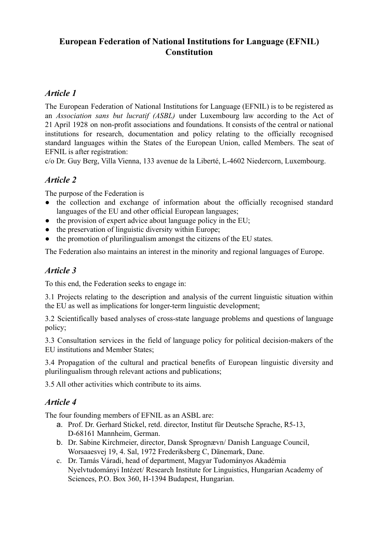# **European Federation of National Institutions for Language (EFNIL) Constitution**

## *Article 1*

The European Federation of National Institutions for Language (EFNIL) is to be registered as an *Association sans but lucratif (ASBL)* under Luxembourg law according to the Act of 21 April 1928 on non-profit associations and foundations. It consists of the central or national institutions for research, documentation and policy relating to the officially recognised standard languages within the States of the European Union, called Members. The seat of EFNIL is after registration:

c/o Dr. Guy Berg, Villa Vienna, 133 avenue de la Liberté, L-4602 Niedercorn, Luxembourg.

### *Article 2*

The purpose of the Federation is

- the collection and exchange of information about the officially recognised standard languages of the EU and other official European languages;
- $\bullet$  the provision of expert advice about language policy in the EU;
- the preservation of linguistic diversity within Europe;
- the promotion of plurilingualism amongst the citizens of the EU states.

The Federation also maintains an interest in the minority and regional languages of Europe.

## *Article 3*

To this end, the Federation seeks to engage in:

3.1 Projects relating to the description and analysis of the current linguistic situation within the EU as well as implications for longer-term linguistic development;

3.2 Scientifically based analyses of cross-state language problems and questions of language policy;

3.3 Consultation services in the field of language policy for political decision-makers of the EU institutions and Member States;

3.4 Propagation of the cultural and practical benefits of European linguistic diversity and plurilingualism through relevant actions and publications;

3.5 All other activities which contribute to its aims.

### *Article 4*

The four founding members of EFNIL as an ASBL are:

- a. Prof. Dr. Gerhard Stickel, retd. director, Institut für Deutsche Sprache, R5-13, D-68161 Mannheim, German.
- b. Dr. Sabine Kirchmeier, director, Dansk Sprognævn/ Danish Language Council, Worsaaesvej 19, 4. Sal, 1972 Frederiksberg C, Dänemark, Dane.
- c. Dr. Tamás Váradi, head of department, Magyar Tudományos Akadémia Nyelvtudományi Intézet/ Research Institute for Linguistics, Hungarian Academy of Sciences, P.O. Box 360, H-1394 Budapest, Hungarian.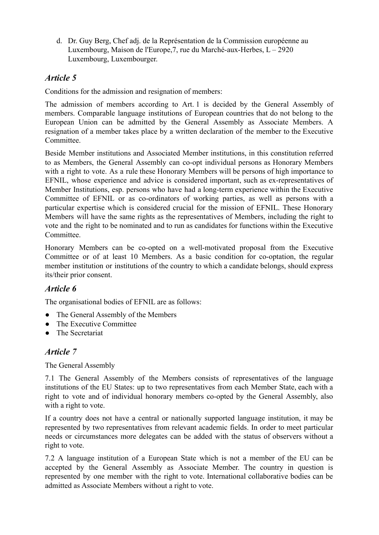d. Dr. Guy Berg, Chef adj. de la Représentation de la Commission européenne au Luxembourg, Maison de l'Europe,7, rue du Marché-aux-Herbes, L – 2920 Luxembourg, Luxembourger.

# *Article 5*

Conditions for the admission and resignation of members:

The admission of members according to Art. 1 is decided by the General Assembly of members. Comparable language institutions of European countries that do not belong to the European Union can be admitted by the General Assembly as Associate Members. A resignation of a member takes place by a written declaration of the member to the Executive Committee.

Beside Member institutions and Associated Member institutions, in this constitution referred to as Members, the General Assembly can co-opt individual persons as Honorary Members with a right to vote. As a rule these Honorary Members will be persons of high importance to EFNIL, whose experience and advice is considered important, such as ex-representatives of Member Institutions, esp. persons who have had a long-term experience within the Executive Committee of EFNIL or as co-ordinators of working parties, as well as persons with a particular expertise which is considered crucial for the mission of EFNIL. These Honorary Members will have the same rights as the representatives of Members, including the right to vote and the right to be nominated and to run as candidates for functions within the Executive Committee.

Honorary Members can be co-opted on a well-motivated proposal from the Executive Committee or of at least 10 Members. As a basic condition for co-optation, the regular member institution or institutions of the country to which a candidate belongs, should express its/their prior consent.

# *Article 6*

The organisational bodies of EFNIL are as follows:

- The General Assembly of the Members
- The Executive Committee
- The Secretariat

# *Article 7*

The General Assembly

7.1 The General Assembly of the Members consists of representatives of the language institutions of the EU States: up to two representatives from each Member State, each with a right to vote and of individual honorary members co-opted by the General Assembly, also with a right to vote.

If a country does not have a central or nationally supported language institution, it may be represented by two representatives from relevant academic fields. In order to meet particular needs or circumstances more delegates can be added with the status of observers without a right to vote.

7.2 A language institution of a European State which is not a member of the EU can be accepted by the General Assembly as Associate Member. The country in question is represented by one member with the right to vote. International collaborative bodies can be admitted as Associate Members without a right to vote.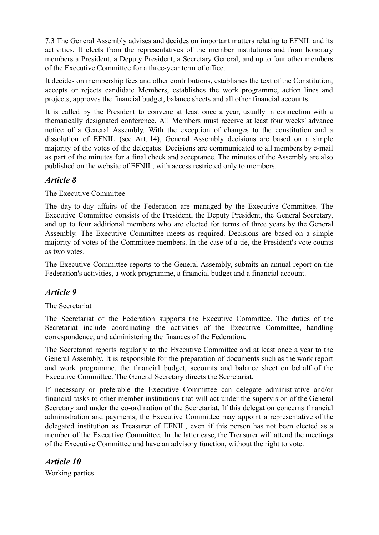7.3 The General Assembly advises and decides on important matters relating to EFNIL and its activities. It elects from the representatives of the member institutions and from honorary members a President, a Deputy President, a Secretary General, and up to four other members of the Executive Committee for a three-year term of office.

It decides on membership fees and other contributions, establishes the text of the Constitution, accepts or rejects candidate Members, establishes the work programme, action lines and projects, approves the financial budget, balance sheets and all other financial accounts.

It is called by the President to convene at least once a year, usually in connection with a thematically designated conference. All Members must receive at least four weeks' advance notice of a General Assembly. With the exception of changes to the constitution and a dissolution of EFNIL (see Art. 14), General Assembly decisions are based on a simple majority of the votes of the delegates. Decisions are communicated to all members by e-mail as part of the minutes for a final check and acceptance. The minutes of the Assembly are also published on the website of EFNIL, with access restricted only to members.

#### *Article 8*

The Executive Committee

The day-to-day affairs of the Federation are managed by the Executive Committee. The Executive Committee consists of the President, the Deputy President, the General Secretary, and up to four additional members who are elected for terms of three years by the General Assembly. The Executive Committee meets as required. Decisions are based on a simple majority of votes of the Committee members. In the case of a tie, the President's vote counts as two votes.

The Executive Committee reports to the General Assembly, submits an annual report on the Federation's activities, a work programme, a financial budget and a financial account.

### *Article 9*

#### The Secretariat

The Secretariat of the Federation supports the Executive Committee. The duties of the Secretariat include coordinating the activities of the Executive Committee, handling correspondence, and administering the finances of the Federation**.**

The Secretariat reports regularly to the Executive Committee and at least once a year to the General Assembly. It is responsible for the preparation of documents such as the work report and work programme, the financial budget, accounts and balance sheet on behalf of the Executive Committee. The General Secretary directs the Secretariat.

If necessary or preferable the Executive Committee can delegate administrative and/or financial tasks to other member institutions that will act under the supervision of the General Secretary and under the co-ordination of the Secretariat. If this delegation concerns financial administration and payments, the Executive Committee may appoint a representative of the delegated institution as Treasurer of EFNIL, even if this person has not been elected as a member of the Executive Committee. In the latter case, the Treasurer will attend the meetings of the Executive Committee and have an advisory function, without the right to vote.

*Article 10* Working parties